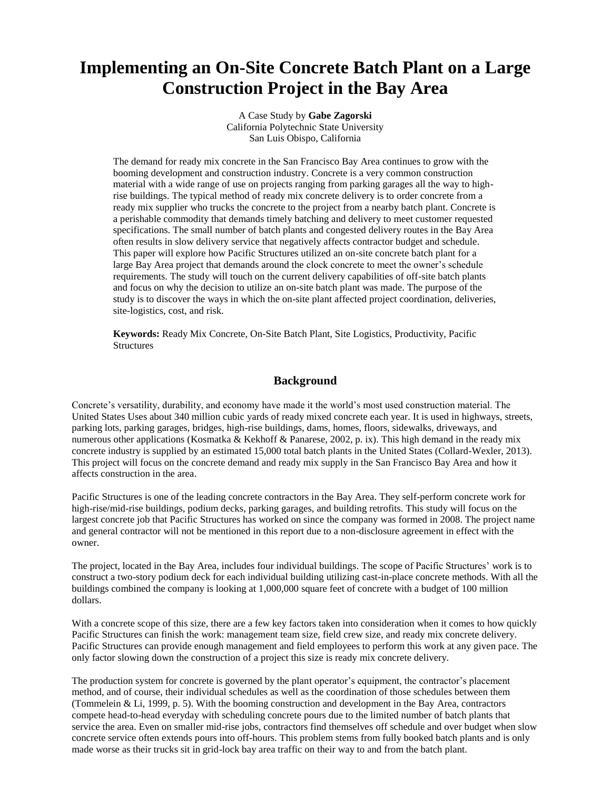# **Implementing an On-Site Concrete Batch Plant on a Large Construction Project in the Bay Area**

A Case Study by **Gabe Zagorski** California Polytechnic State University San Luis Obispo, California

The demand for ready mix concrete in the San Francisco Bay Area continues to grow with the booming development and construction industry. Concrete is a very common construction material with a wide range of use on projects ranging from parking garages all the way to highrise buildings. The typical method of ready mix concrete delivery is to order concrete from a ready mix supplier who trucks the concrete to the project from a nearby batch plant. Concrete is a perishable commodity that demands timely batching and delivery to meet customer requested specifications. The small number of batch plants and congested delivery routes in the Bay Area often results in slow delivery service that negatively affects contractor budget and schedule. This paper will explore how Pacific Structures utilized an on-site concrete batch plant for a large Bay Area project that demands around the clock concrete to meet the owner's schedule requirements. The study will touch on the current delivery capabilities of off-site batch plants and focus on why the decision to utilize an on-site batch plant was made. The purpose of the study is to discover the ways in which the on-site plant affected project coordination, deliveries, site-logistics, cost, and risk.

**Keywords:** Ready Mix Concrete, On-Site Batch Plant, Site Logistics, Productivity, Pacific **Structures** 

#### **Background**

Concrete's versatility, durability, and economy have made it the world's most used construction material. The United States Uses about 340 million cubic yards of ready mixed concrete each year. It is used in highways, streets, parking lots, parking garages, bridges, high-rise buildings, dams, homes, floors, sidewalks, driveways, and numerous other applications (Kosmatka & Kekhoff & Panarese, 2002, p. ix). This high demand in the ready mix concrete industry is supplied by an estimated 15,000 total batch plants in the United States (Collard-Wexler, 2013). This project will focus on the concrete demand and ready mix supply in the San Francisco Bay Area and how it affects construction in the area.

Pacific Structures is one of the leading concrete contractors in the Bay Area. They self-perform concrete work for high-rise/mid-rise buildings, podium decks, parking garages, and building retrofits. This study will focus on the largest concrete job that Pacific Structures has worked on since the company was formed in 2008. The project name and general contractor will not be mentioned in this report due to a non-disclosure agreement in effect with the owner.

The project, located in the Bay Area, includes four individual buildings. The scope of Pacific Structures' work is to construct a two-story podium deck for each individual building utilizing cast-in-place concrete methods. With all the buildings combined the company is looking at 1,000,000 square feet of concrete with a budget of 100 million dollars.

With a concrete scope of this size, there are a few key factors taken into consideration when it comes to how quickly Pacific Structures can finish the work: management team size, field crew size, and ready mix concrete delivery. Pacific Structures can provide enough management and field employees to perform this work at any given pace. The only factor slowing down the construction of a project this size is ready mix concrete delivery.

The production system for concrete is governed by the plant operator's equipment, the contractor's placement method, and of course, their individual schedules as well as the coordination of those schedules between them (Tommelein & Li, 1999, p. 5). With the booming construction and development in the Bay Area, contractors compete head-to-head everyday with scheduling concrete pours due to the limited number of batch plants that service the area. Even on smaller mid-rise jobs, contractors find themselves off schedule and over budget when slow concrete service often extends pours into off-hours. This problem stems from fully booked batch plants and is only made worse as their trucks sit in grid-lock bay area traffic on their way to and from the batch plant.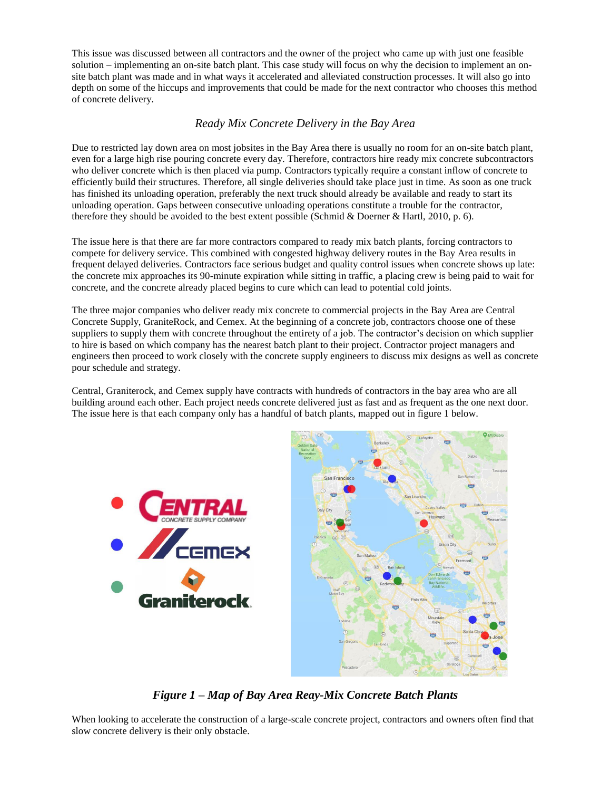This issue was discussed between all contractors and the owner of the project who came up with just one feasible solution – implementing an on-site batch plant. This case study will focus on why the decision to implement an onsite batch plant was made and in what ways it accelerated and alleviated construction processes. It will also go into depth on some of the hiccups and improvements that could be made for the next contractor who chooses this method of concrete delivery.

#### *Ready Mix Concrete Delivery in the Bay Area*

Due to restricted lay down area on most jobsites in the Bay Area there is usually no room for an on-site batch plant, even for a large high rise pouring concrete every day. Therefore, contractors hire ready mix concrete subcontractors who deliver concrete which is then placed via pump. Contractors typically require a constant inflow of concrete to efficiently build their structures. Therefore, all single deliveries should take place just in time. As soon as one truck has finished its unloading operation, preferably the next truck should already be available and ready to start its unloading operation. Gaps between consecutive unloading operations constitute a trouble for the contractor, therefore they should be avoided to the best extent possible (Schmid & Doerner & Hartl, 2010, p. 6).

The issue here is that there are far more contractors compared to ready mix batch plants, forcing contractors to compete for delivery service. This combined with congested highway delivery routes in the Bay Area results in frequent delayed deliveries. Contractors face serious budget and quality control issues when concrete shows up late: the concrete mix approaches its 90-minute expiration while sitting in traffic, a placing crew is being paid to wait for concrete, and the concrete already placed begins to cure which can lead to potential cold joints.

The three major companies who deliver ready mix concrete to commercial projects in the Bay Area are Central Concrete Supply, GraniteRock, and Cemex. At the beginning of a concrete job, contractors choose one of these suppliers to supply them with concrete throughout the entirety of a job. The contractor's decision on which supplier to hire is based on which company has the nearest batch plant to their project. Contractor project managers and engineers then proceed to work closely with the concrete supply engineers to discuss mix designs as well as concrete pour schedule and strategy.

Central, Graniterock, and Cemex supply have contracts with hundreds of contractors in the bay area who are all building around each other. Each project needs concrete delivered just as fast and as frequent as the one next door. The issue here is that each company only has a handful of batch plants, mapped out in figure 1 below.



*Figure 1 – Map of Bay Area Reay-Mix Concrete Batch Plants*

When looking to accelerate the construction of a large-scale concrete project, contractors and owners often find that slow concrete delivery is their only obstacle.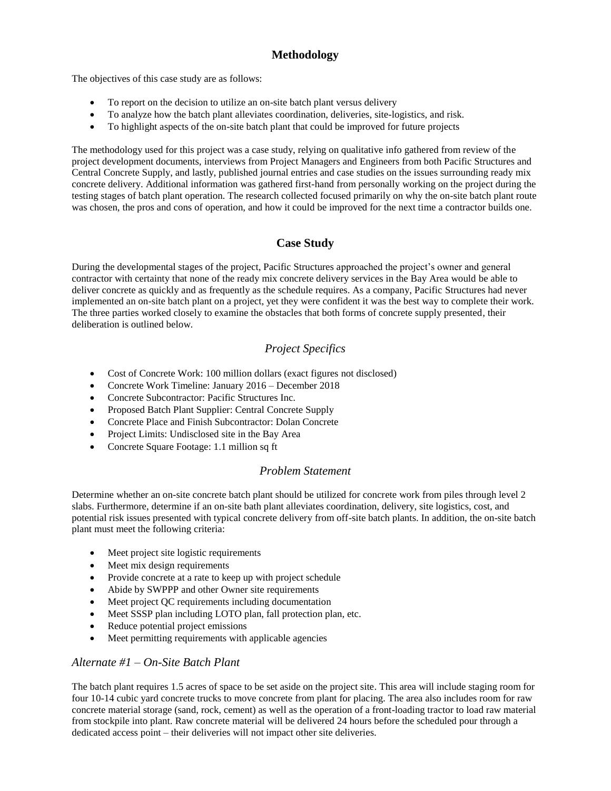## **Methodology**

The objectives of this case study are as follows:

- To report on the decision to utilize an on-site batch plant versus delivery
- To analyze how the batch plant alleviates coordination, deliveries, site-logistics, and risk.
- To highlight aspects of the on-site batch plant that could be improved for future projects

The methodology used for this project was a case study, relying on qualitative info gathered from review of the project development documents, interviews from Project Managers and Engineers from both Pacific Structures and Central Concrete Supply, and lastly, published journal entries and case studies on the issues surrounding ready mix concrete delivery. Additional information was gathered first-hand from personally working on the project during the testing stages of batch plant operation. The research collected focused primarily on why the on-site batch plant route was chosen, the pros and cons of operation, and how it could be improved for the next time a contractor builds one.

### **Case Study**

During the developmental stages of the project, Pacific Structures approached the project's owner and general contractor with certainty that none of the ready mix concrete delivery services in the Bay Area would be able to deliver concrete as quickly and as frequently as the schedule requires. As a company, Pacific Structures had never implemented an on-site batch plant on a project, yet they were confident it was the best way to complete their work. The three parties worked closely to examine the obstacles that both forms of concrete supply presented, their deliberation is outlined below.

## *Project Specifics*

- Cost of Concrete Work: 100 million dollars (exact figures not disclosed)
- Concrete Work Timeline: January 2016 December 2018
- Concrete Subcontractor: Pacific Structures Inc.
- Proposed Batch Plant Supplier: Central Concrete Supply
- Concrete Place and Finish Subcontractor: Dolan Concrete
- Project Limits: Undisclosed site in the Bay Area
- Concrete Square Footage: 1.1 million sq ft

#### *Problem Statement*

Determine whether an on-site concrete batch plant should be utilized for concrete work from piles through level 2 slabs. Furthermore, determine if an on-site bath plant alleviates coordination, delivery, site logistics, cost, and potential risk issues presented with typical concrete delivery from off-site batch plants. In addition, the on-site batch plant must meet the following criteria:

- Meet project site logistic requirements
- Meet mix design requirements
- Provide concrete at a rate to keep up with project schedule
- Abide by SWPPP and other Owner site requirements
- Meet project QC requirements including documentation
- Meet SSSP plan including LOTO plan, fall protection plan, etc.
- Reduce potential project emissions
- Meet permitting requirements with applicable agencies

#### *Alternate #1 – On-Site Batch Plant*

The batch plant requires 1.5 acres of space to be set aside on the project site. This area will include staging room for four 10-14 cubic yard concrete trucks to move concrete from plant for placing. The area also includes room for raw concrete material storage (sand, rock, cement) as well as the operation of a front-loading tractor to load raw material from stockpile into plant. Raw concrete material will be delivered 24 hours before the scheduled pour through a dedicated access point – their deliveries will not impact other site deliveries.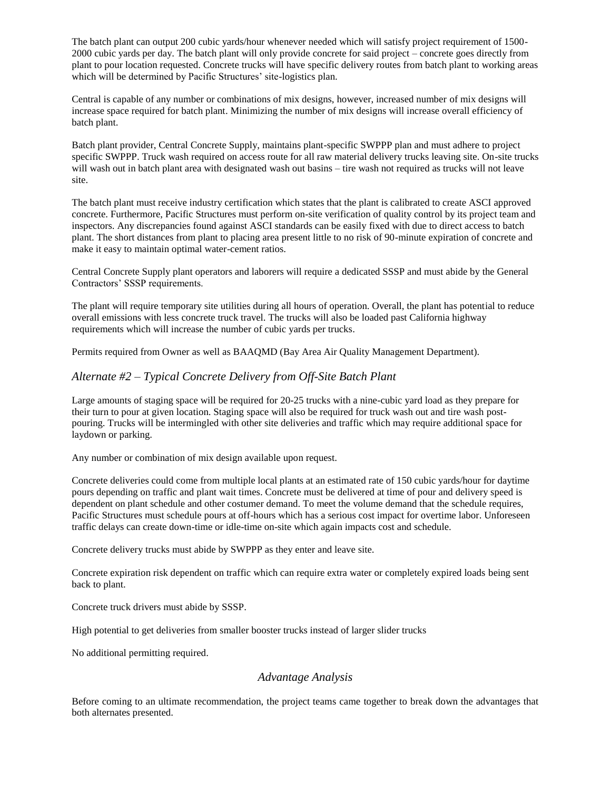The batch plant can output 200 cubic yards/hour whenever needed which will satisfy project requirement of 1500- 2000 cubic yards per day. The batch plant will only provide concrete for said project – concrete goes directly from plant to pour location requested. Concrete trucks will have specific delivery routes from batch plant to working areas which will be determined by Pacific Structures' site-logistics plan.

Central is capable of any number or combinations of mix designs, however, increased number of mix designs will increase space required for batch plant. Minimizing the number of mix designs will increase overall efficiency of batch plant.

Batch plant provider, Central Concrete Supply, maintains plant-specific SWPPP plan and must adhere to project specific SWPPP. Truck wash required on access route for all raw material delivery trucks leaving site. On-site trucks will wash out in batch plant area with designated wash out basins – tire wash not required as trucks will not leave site.

The batch plant must receive industry certification which states that the plant is calibrated to create ASCI approved concrete. Furthermore, Pacific Structures must perform on-site verification of quality control by its project team and inspectors. Any discrepancies found against ASCI standards can be easily fixed with due to direct access to batch plant. The short distances from plant to placing area present little to no risk of 90-minute expiration of concrete and make it easy to maintain optimal water-cement ratios.

Central Concrete Supply plant operators and laborers will require a dedicated SSSP and must abide by the General Contractors' SSSP requirements.

The plant will require temporary site utilities during all hours of operation. Overall, the plant has potential to reduce overall emissions with less concrete truck travel. The trucks will also be loaded past California highway requirements which will increase the number of cubic yards per trucks.

Permits required from Owner as well as BAAQMD (Bay Area Air Quality Management Department).

#### *Alternate #2 – Typical Concrete Delivery from Off-Site Batch Plant*

Large amounts of staging space will be required for 20-25 trucks with a nine-cubic yard load as they prepare for their turn to pour at given location. Staging space will also be required for truck wash out and tire wash postpouring. Trucks will be intermingled with other site deliveries and traffic which may require additional space for laydown or parking.

Any number or combination of mix design available upon request.

Concrete deliveries could come from multiple local plants at an estimated rate of 150 cubic yards/hour for daytime pours depending on traffic and plant wait times. Concrete must be delivered at time of pour and delivery speed is dependent on plant schedule and other costumer demand. To meet the volume demand that the schedule requires, Pacific Structures must schedule pours at off-hours which has a serious cost impact for overtime labor. Unforeseen traffic delays can create down-time or idle-time on-site which again impacts cost and schedule.

Concrete delivery trucks must abide by SWPPP as they enter and leave site.

Concrete expiration risk dependent on traffic which can require extra water or completely expired loads being sent back to plant.

Concrete truck drivers must abide by SSSP.

High potential to get deliveries from smaller booster trucks instead of larger slider trucks

No additional permitting required.

#### *Advantage Analysis*

Before coming to an ultimate recommendation, the project teams came together to break down the advantages that both alternates presented.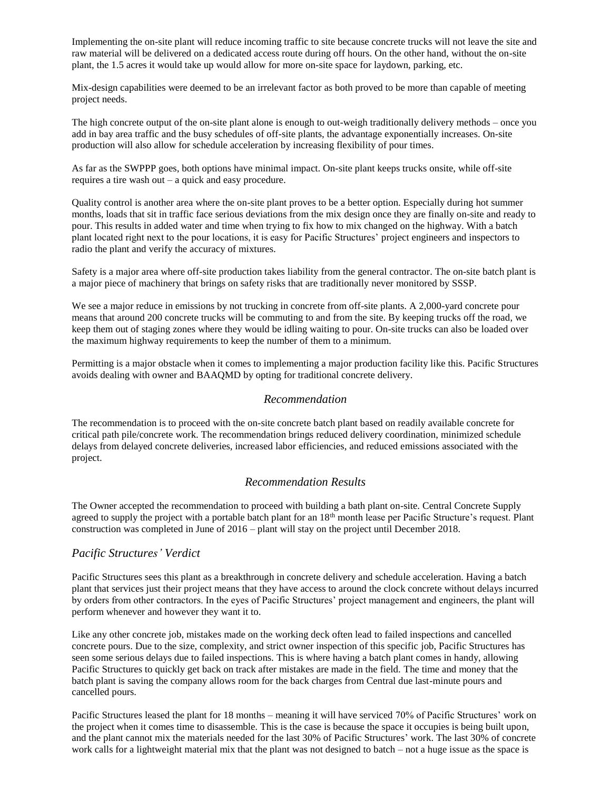Implementing the on-site plant will reduce incoming traffic to site because concrete trucks will not leave the site and raw material will be delivered on a dedicated access route during off hours. On the other hand, without the on-site plant, the 1.5 acres it would take up would allow for more on-site space for laydown, parking, etc.

Mix-design capabilities were deemed to be an irrelevant factor as both proved to be more than capable of meeting project needs.

The high concrete output of the on-site plant alone is enough to out-weigh traditionally delivery methods – once you add in bay area traffic and the busy schedules of off-site plants, the advantage exponentially increases. On-site production will also allow for schedule acceleration by increasing flexibility of pour times.

As far as the SWPPP goes, both options have minimal impact. On-site plant keeps trucks onsite, while off-site requires a tire wash out – a quick and easy procedure.

Quality control is another area where the on-site plant proves to be a better option. Especially during hot summer months, loads that sit in traffic face serious deviations from the mix design once they are finally on-site and ready to pour. This results in added water and time when trying to fix how to mix changed on the highway. With a batch plant located right next to the pour locations, it is easy for Pacific Structures' project engineers and inspectors to radio the plant and verify the accuracy of mixtures.

Safety is a major area where off-site production takes liability from the general contractor. The on-site batch plant is a major piece of machinery that brings on safety risks that are traditionally never monitored by SSSP.

We see a major reduce in emissions by not trucking in concrete from off-site plants. A 2,000-yard concrete pour means that around 200 concrete trucks will be commuting to and from the site. By keeping trucks off the road, we keep them out of staging zones where they would be idling waiting to pour. On-site trucks can also be loaded over the maximum highway requirements to keep the number of them to a minimum.

Permitting is a major obstacle when it comes to implementing a major production facility like this. Pacific Structures avoids dealing with owner and BAAQMD by opting for traditional concrete delivery.

#### *Recommendation*

The recommendation is to proceed with the on-site concrete batch plant based on readily available concrete for critical path pile/concrete work. The recommendation brings reduced delivery coordination, minimized schedule delays from delayed concrete deliveries, increased labor efficiencies, and reduced emissions associated with the project.

#### *Recommendation Results*

The Owner accepted the recommendation to proceed with building a bath plant on-site. Central Concrete Supply agreed to supply the project with a portable batch plant for an 18<sup>th</sup> month lease per Pacific Structure's request. Plant construction was completed in June of 2016 – plant will stay on the project until December 2018.

#### *Pacific Structures' Verdict*

Pacific Structures sees this plant as a breakthrough in concrete delivery and schedule acceleration. Having a batch plant that services just their project means that they have access to around the clock concrete without delays incurred by orders from other contractors. In the eyes of Pacific Structures' project management and engineers, the plant will perform whenever and however they want it to.

Like any other concrete job, mistakes made on the working deck often lead to failed inspections and cancelled concrete pours. Due to the size, complexity, and strict owner inspection of this specific job, Pacific Structures has seen some serious delays due to failed inspections. This is where having a batch plant comes in handy, allowing Pacific Structures to quickly get back on track after mistakes are made in the field. The time and money that the batch plant is saving the company allows room for the back charges from Central due last-minute pours and cancelled pours.

Pacific Structures leased the plant for 18 months – meaning it will have serviced 70% of Pacific Structures' work on the project when it comes time to disassemble. This is the case is because the space it occupies is being built upon, and the plant cannot mix the materials needed for the last 30% of Pacific Structures' work. The last 30% of concrete work calls for a lightweight material mix that the plant was not designed to batch – not a huge issue as the space is